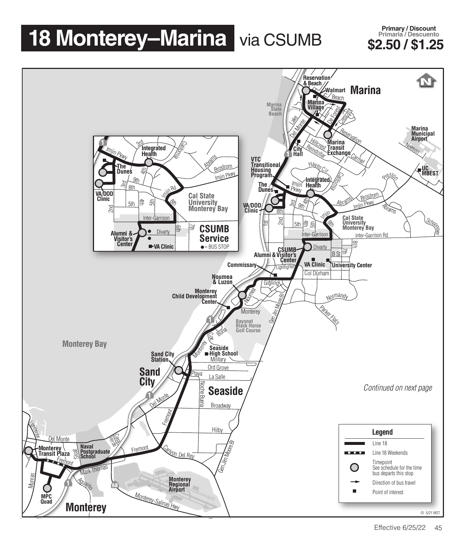## **18 Monterey–Marina** via CSUMB \$2.50 / \$1.25

**Primary / Discount Primaria / Descuento**<br>**S2.50 / \$1.25** 

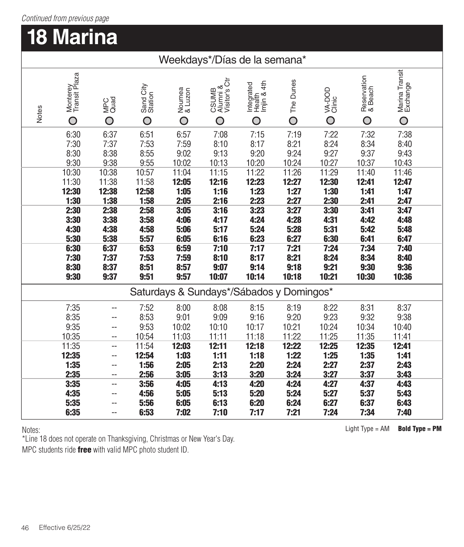## *Continued from previous page*

## **18 Marina**

| Weekdays*/Días de la semana* |
|------------------------------|
|------------------------------|

| Notes                                    | Monterey<br>Transit Plaza<br>O | MPC<br>Quad<br>O | Sand City<br>Station<br>O | Noumea<br>& Luzon<br>O | CSUMB<br>Alumni &<br>Visitor's Ctr<br>O | Health<br>Imjin & 4th<br>ntegrated<br>O | The Dunes<br>$\overline{O}$ | VA-DOD<br>Clinic<br>O | Reservation<br>& Beach<br>O | Marina Transit<br>$\overline{O}$ |  |
|------------------------------------------|--------------------------------|------------------|---------------------------|------------------------|-----------------------------------------|-----------------------------------------|-----------------------------|-----------------------|-----------------------------|----------------------------------|--|
|                                          | 6:30<br>7:30                   | 6:37<br>7:37     | 6:51<br>7:53              | 6:57<br>7:59           | 7:08<br>8:10                            | 7:15<br>8:17                            | 7:19<br>8:21                | 7:22<br>8:24          | 7:32<br>8:34                | 7:38<br>8:40                     |  |
|                                          | 8:30<br>9:30                   | 8:38<br>9:38     | 8:55<br>9:55              | 9:02<br>10:02          | 9:13<br>10:13                           | 9:20<br>10:20                           | 9:24<br>10:24               | 9:27<br>10:27         | 9:37<br>10:37               | 9:43<br>10:43                    |  |
|                                          | 10:30                          | 10:38            | 10:57                     | 11:04                  | 11:15                                   | 11:22                                   | 11:26                       | 11:29                 | 11:40                       | 11:46                            |  |
|                                          | 11:30                          | 11:38            | 11:58                     | 12:05                  | 12:16                                   | 12:23                                   | 12:27                       | 12:30                 | 12:41                       | 12:47                            |  |
|                                          | 12:30<br>1:30                  | 12:38<br>1:38    | 12:58<br>1:58             | 1:05<br>2:05           | 1:16<br>2:16                            | 1:23<br>2:23                            | 1:27<br>2:27                | 1:30<br>2:30          | 1:41<br>2:41                | 1:47<br>2:47                     |  |
|                                          | 2:30                           | 2:38             | 2:58                      | 3:05                   | 3:16                                    | 3:23                                    | 3:27                        | 3:30                  | 3:41                        | 3:47                             |  |
|                                          | 3:30                           | 3:38             | 3:58                      | 4:06                   | 4:17                                    | 4:24                                    | 4:28                        | 4:31                  | 4:42                        | 4:48                             |  |
|                                          | 4:30<br>5:30                   | 4:38<br>5:38     | 4:58<br>5:57              | 5:06<br>6:05           | 5:17<br>6:16                            | 5:24<br>6:23                            | 5:28<br>6:27                | 5:31<br>6:30          | 5:42<br>6:41                | 5:48<br>6:47                     |  |
|                                          | 6:30                           | 6:37             | 6:53                      | 6:59                   | 7:10                                    | 7:17                                    | 7:21                        | 7:24                  | 7:34                        | 7:40                             |  |
|                                          | 7:30                           | 7:37<br>8:37     | 7:53                      | 7:59                   | 8:10                                    | 8:17                                    | 8:21<br>9:18                | 8:24<br>9:21          | 8:34                        | 8:40                             |  |
|                                          | 8:30<br>9:30                   | 9:37             | 8:51<br>9:51              | 8:57<br>9:57           | 9:07<br>10:07                           | 9:14<br>10:14                           | 10:18                       | 10:21                 | 9:30<br>10:30               | 9:36<br>10:36                    |  |
| Saturdays & Sundays*/Sábados y Domingos* |                                |                  |                           |                        |                                         |                                         |                             |                       |                             |                                  |  |
|                                          | 7:35                           | --               | 7:52                      | 8:00                   | 8:08                                    | 8:15                                    | 8:19                        | 8:22                  | 8:31                        | 8:37                             |  |
|                                          | 8:35                           | --               | 8:53                      | 9:01                   | 9:09                                    | 9:16                                    | 9:20                        | 9:23                  | 9:32                        | 9:38                             |  |
|                                          | 9:35                           | --               | 9:53                      | 10:02                  | 10:10                                   | 10:17                                   | 10:21                       | 10:24                 | 10:34                       | 10:40                            |  |
|                                          | 10:35<br>11:35                 | --               | 10:54<br>11:54            | 11:03<br>12:03         | 11:11<br>12:11                          | 11:18<br>12:18                          | 11:22<br>12:22              | 11:25<br>12:25        | 11:35<br>12:35              | 11:41<br>12:41                   |  |
|                                          | 12:35                          | --<br>--         | 12:54                     | 1:03                   | 1:11                                    | 1:18                                    | 1:22                        | 1:25                  | 1:35                        | 1:41                             |  |
|                                          | 1:35                           | --               | 1:56                      | 2:05                   | 2:13                                    | 2:20                                    | 2:24                        | 2:27                  | 2:37                        | 2:43                             |  |
|                                          | 2:35                           | --               | 2:56                      | 3:05                   | 3:13                                    | 3:20                                    | 3:24                        | 3:27                  | 3:37                        | 3:43                             |  |
|                                          | 3:35                           | --               | 3:56                      | 4:05                   | 4:13                                    | 4:20                                    | 4:24                        | 4:27                  | 4:37                        | 4:43                             |  |
|                                          | 4:35<br>5:35                   | --               | 4:56<br>5:56              | 5:05<br>6:05           | 5:13<br>6:13                            | 5:20<br>6:20                            | 5:24<br>6:24                | 5:27<br>6:27          | 5:37<br>6:37                | 5:43<br>6:43                     |  |
|                                          | 6:35                           | --               | 6:53                      | 7:02                   | 7:10                                    | 7:17                                    | 7:21                        | 7:24                  | 7:34                        | 7:40                             |  |

Notes:

\*Line 18 does not operate on Thanksgiving, Christmas or New Year's Day. MPC students ride free with valid MPC photo student ID.

Light Type = AM **Bold Type = PM**